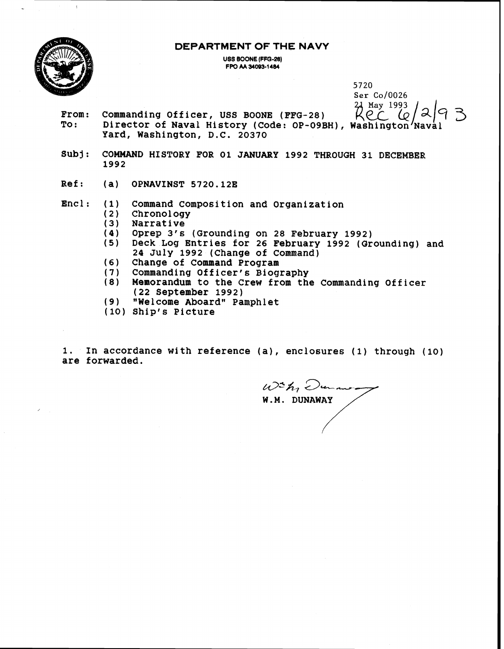**DEPARTMENT OF THE NAVY** 



 $\bar{z}$ 

**1992** 

**USS BOONE (FFQ-28) FPO M 34093-1 484**  5720

**Ser** Co/0026 **From: Commanding Officer, USS BOONE (FFG-28)**  $\bigwedge^{\text{21 May 1993}}_{\text{22 Q}}\bigwedge^{\text{24 Q}}$  3 3 3 3 4 4 3 3 3 4 4 3 3 3 4 4 3 3 3 4 4 3 3 3 4 4 3 3 3 4 4 3 3 3 4 4 3 3 3 4 4 5 3 3 4 5 3 3 4 5 3 3 4 5 3 3 4 5 3 3 4 5 3 3 4 5 3 4 **Yard, Washington, D.C. 20370 Subj: COMMAND HISTORY FOR 01 JANUARY 1992 THROUGH 31 DECEMBER Ref: (a) OPNAVINST5720.12E Encl: (1) Command Composition and Organization (2) Chronology (3) Narrative** 

- **(4) Oprep 3's (Grounding on 28 February 1992) (5) Deck Log Entries for 26 February 1992 (Grounding) and 24 July 1992 (Change of Command)**
- **Change of Command Program**   $(6)$
- $(7)$ **Commanding Officer's Biography**
- $(8)$ **Memorandum to the Crew from the Commanding Officer (22 September 1992)**
- **wWelcorne Aboardw Pamphlet**
- **Ship's Picture**

**1. In accordance with reference (a), enclosures (1) through (lo) are forwarded.** 

 $W^2h$ , Durano. **W.M. DUNAWAY**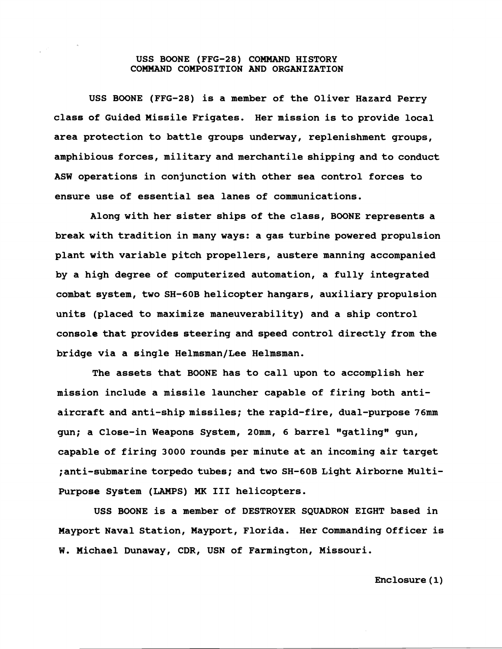## **USS BOONE (FFG-28) COMMAND HISTORY COMMAND COMPOSITION AND ORGANIZATION**

**USS BOONE (FFG-28) is a member of the Oliver Hazard Perry class of Guided Missile Frigates. Her mission is to provide local area protection to battle groups underway, replenishment groups, amphibious forces, military and merchantile shipping and to conduct ASW operations in conjunction with other sea control forces to ensure use of essential sea lanes of communications.** 

**Along with her sister ships of the class, BOONE represents a break with tradition in many ways: a gas turbine powered propulsion plant with variable pitch propellers, austere manning accompanied by a high degree of computerized automation, a fully integrated combat system, two SH-60B helicopter hangars, auxiliary propulsion units (placed to maximize maneuverability) and a ship control console that provides steering and speed control directly fromthe**  bridge via a single Helmsman/Lee Helmsman.

**The assets that BOONE has to call upon to accomplish her mission include a missile launcher capable of firing both antiaircraft and anti-ship missiles; the rapid-fire, dual-purpose 76mm**  gun; a Close-in Weapons System, 20mm, 6 barrel "gatling" gun, **capable of firing 3000 rounds per minute at an incoming air target ;anti-submarine torpedo tubes; and two SH-60B Light Airborne Multi-Purpose System (LAMPS) MK I11 helicopters.** 

**USS BOONE is a member of DESTROYER SQUADRON EIGHT based in Hayport Naval Station, Mayport, Florida. Her Commanding Officer is W. Michael Dunaway, CDR, USN of Farmington, Missouri.** 

**Enclosure (1)**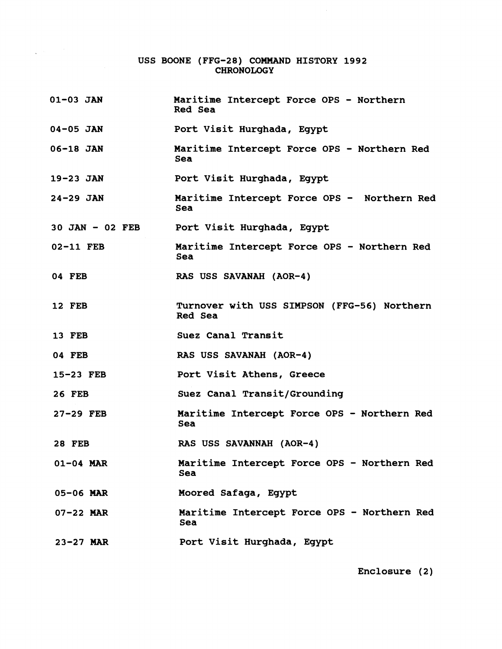## **USS BOONE (FFG-28) COMMAND HISTORY 1992 CHRONOLOGY**

 $\sqrt{2}$  ,  $\sqrt{2}$ 

| $01 - 03$ JAN     | Maritime Intercept Force OPS - Northern<br>Red Sea     |
|-------------------|--------------------------------------------------------|
| $04 - 05$ JAN     | Port Visit Hurghada, Egypt                             |
| $06 - 18$ JAN     | Maritime Intercept Force OPS - Northern Red<br>Sea     |
| $19-23$ JAN       | Port Visit Hurghada, Egypt                             |
| $24 - 29$ JAN     | Maritime Intercept Force OPS - Northern Red<br>Sea     |
| $30$ JAN - 02 FEB | Port Visit Hurghada, Egypt                             |
| 02-11 FEB         | Maritime Intercept Force OPS - Northern Red<br>Sea     |
| 04 FEB            | RAS USS SAVANAH (AOR-4)                                |
| <b>12 FEB</b>     | Turnover with USS SIMPSON (FFG-56) Northern<br>Red Sea |
| <b>13 FEB</b>     | Suez Canal Transit                                     |
| 04 FEB            | RAS USS SAVANAH (AOR-4)                                |
| 15-23 FEB         | Port Visit Athens, Greece                              |
| <b>26 FEB</b>     | Suez Canal Transit/Grounding                           |
| $27-29$ FEB       | Maritime Intercept Force OPS - Northern Red<br>Sea     |
| <b>28 FEB</b>     | RAS USS SAVANNAH (AOR-4)                               |
| $01-04$ MAR       | Maritime Intercept Force OPS - Northern Red<br>Sea     |
| 05-06 MAR         | Moored Safaga, Egypt                                   |
| 07-22 MAR         | Maritime Intercept Force OPS - Northern Red<br>Sea     |
| $23 - 27$ MAR     | Port Visit Hurghada, Egypt                             |

**Enclosure (2)**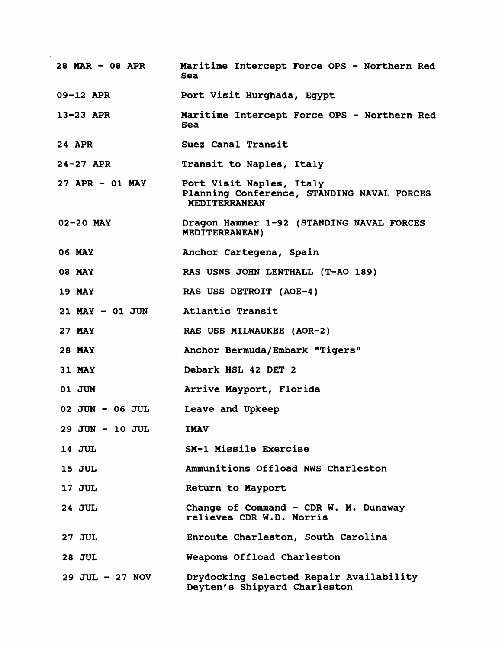| 28 MAR $-$ 08 APR  | Maritime Intercept Force OPS - Northern Red<br>Sea                                      |
|--------------------|-----------------------------------------------------------------------------------------|
| 09-12 APR          | Port Visit Hurghada, Egypt                                                              |
| $13-23$ APR        | Maritime Intercept Force OPS - Northern Red<br>Sea                                      |
| <b>24 APR</b>      | Suez Canal Transit                                                                      |
| $24 - 27$ APR      | Transit to Naples, Italy                                                                |
| $27$ APR - 01 MAY  | Port Visit Naples, Italy<br>Planning Conference, STANDING NAVAL FORCES<br>MEDITERRANEAN |
| $02 - 20$ MAY      | Dragon Hammer 1-92 (STANDING NAVAL FORCES<br><b>MEDITERRANEAN)</b>                      |
| <b>06 MAY</b>      | Anchor Cartegena, Spain                                                                 |
| <b>08 MAY</b>      | RAS USNS JOHN LENTHALL (T-AO 189)                                                       |
| <b>19 MAY</b>      | RAS USS DETROIT (AOE-4)                                                                 |
| $21$ MAY - 01 JUN  | Atlantic Transit                                                                        |
| <b>27 MAY</b>      | RAS USS MILWAUKEE (AOR-2)                                                               |
| <b>28 MAY</b>      | Anchor Bermuda/Embark "Tigers"                                                          |
| <b>31 MAY</b>      | Debark HSL 42 DET 2                                                                     |
| 01 JUN             | Arrive Mayport, Florida                                                                 |
| 02 JUN - 06 JUL    | Leave and Upkeep                                                                        |
| 29 JUN - 10 JUL    | <b>TMAV</b>                                                                             |
| <b>14 JUL</b>      | SM-1 Missile Exercise                                                                   |
| <b>15 JUL</b>      | Ammunitions Offload NWS Charleston                                                      |
| 17 JUL             | Return to Mayport                                                                       |
| <b>24 JUL</b>      | Change of Command - CDR W. M. Dunaway<br>relieves CDR W.D. Morris                       |
| <b>27 JUL</b>      | Enroute Charleston, South Carolina                                                      |
| <b>28 JUL</b>      | Weapons Offload Charleston                                                              |
| $29$ JUL $-27$ NOV | Drydocking Selected Repair Availability<br>Deyten's Shipyard Charleston                 |
|                    |                                                                                         |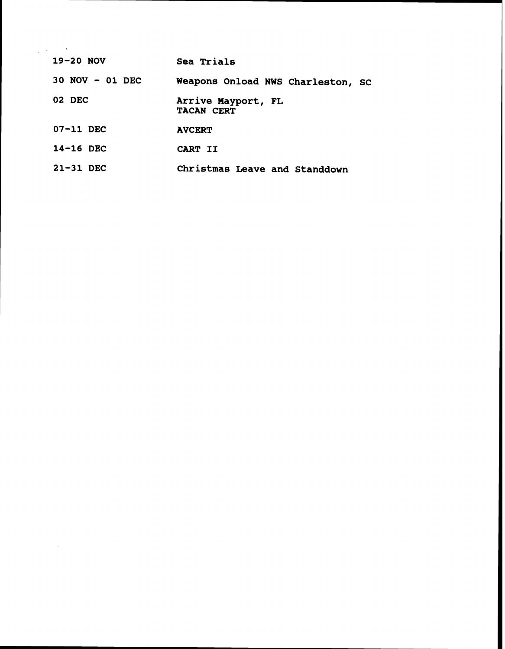| $\frac{1}{2}$ , $\frac{1}{2}$ , $\frac{1}{2}$ , $\frac{1}{2}$ , $\frac{1}{2}$ |                                         |
|-------------------------------------------------------------------------------|-----------------------------------------|
| $19-20$ NOV                                                                   | Sea Trials                              |
| 30 NOV - 01 DEC                                                               | Weapons Onload NWS Charleston, SC       |
| 02 DEC                                                                        | Arrive Mayport, FL<br><b>TACAN CERT</b> |
| $07-11$ DEC                                                                   | <b>AVCERT</b>                           |
| $14-16$ DEC                                                                   | CART II                                 |
| 21-31 DEC                                                                     | Christmas Leave and Standdown           |

 $\label{eq:2.1} \mathcal{L}(\mathcal{L}^{\text{max}}_{\mathcal{L}}(\mathcal{L}^{\text{max}}_{\mathcal{L}})) \leq \mathcal{L}(\mathcal{L}^{\text{max}}_{\mathcal{L}}(\mathcal{L}^{\text{max}}_{\mathcal{L}}))$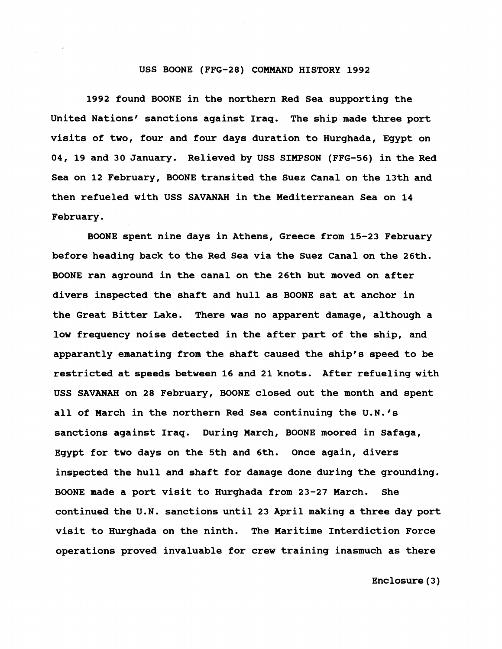## **USS BOONE (FFG-28) COMMAND HISTORY 1992**

**1992 found BOONE in the northern Red Sea supporting the**  United Nations' sanctions against Irag. The ship made three port **visits of two, four and four days duration to Hurghada, Egypt on 04, 19 and 30 January. Relieved by USS SIMPSON (FFG-56) in the Red Sea on 12 February, BOONE transited the Suez Canal on the 13th and then refueled with USS SAVANAH in the Mediterranean Sea on 14 February.** 

**BOONE spent nine days in Athens, Greece from 15-23 February before heading back to the Red Sea via the Suez Canal on the 26th. BOONE ran aground in the canal on the 26th but moved on after divers inspected the shaft and hull as BOONE sat at anchor in the Great Bitter Lake. There was no apparent damage, although a low frequency noise detected in the after part of the ship, and apparantly emanating from the shaft caused the ship's speed to be restricted at speeds between 16 and 21 knots. After refueling with USS SAVANAH on 28 February, BOONE closed out the month and spent all of March in the northern Red Sea continuing the U.N.'s sanctions against Iraq. During March, BOONE moored in Safaga, Egypt for two days on the 5th and 6th. Once again, divers inspected the hull and shaft for damage done during the grounding. BOONE made a port visit to Hurghada from 23-27 March. She continued the U.N. sanctions until 23 April making a three day port visit to Hurghada on the ninth. The Maritime Interdiction Force operations proved invaluable for crew training inasmuch as there** 

**Enclosure (3)**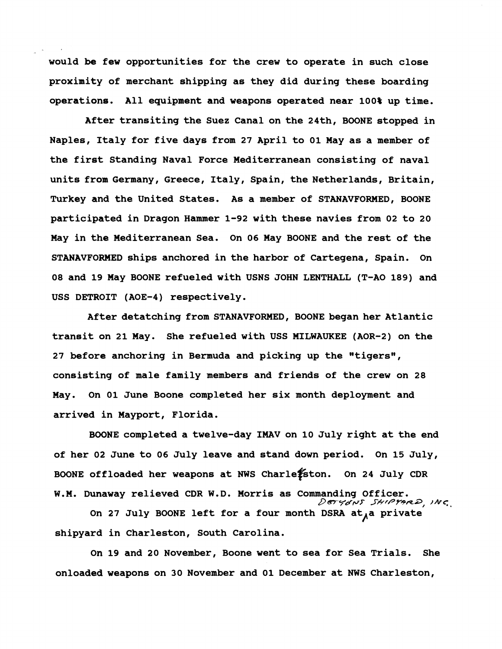**would be few opportunities for the crew to operate in such close proximity of merchant shipping as they did during these boarding operations. All equipment and weapons operated near 100% up time.** 

**After transiting the Suez Canal on the 24th, BOONE stopped in Naples, Italy for five days from 27 April to 01 May as a member of the first Standing Naval Force Mediterranean consisting of naval units from Germany, Greece, Italy, Spain, the Netherlands, Britain, Turkey and the United States. As a member of STANAVFORMED, BOONE participated in Dragon Hammer 1-92 with these navies from 02 to 20 May in the Mediterranean Sea. On 06 May BOONE and the rest of the STANAVFORMED ships anchored in the harbor of Cartegena, Spain. On 08 and 19 May BOONE refueled with USNS JOHN LENTHALL (T-A0 189) and USS DETROIT (AOE-4) respectively.** 

**After detatching from STANAVFORMED, BOONE began her Atlantic transit on 21 May. She refueled with USS MILWAUKEE (AOR-2) on the**  27 before anchoring in Bermuda and picking up the "tigers", **consisting of male family members and friends of the crew on 28 May. On 01 June Boone completed her six month deployment and arrived in Mayport, Florida.** 

**BOONE completed a twelve-day IMAV on 10 July right at the end of her 02 June to 06 July leave and stand down period. On 15 July,**  BOONE offloaded her weapons at NWS Charle<sup>t</sup>ston. On 24 July CDR **W.M. Dunaway relieved CDR W.D. Morris as Commanding Officer. D** ez *y~vr* **ShrPr~plea,** 

On 27 July BOONE left for a four month DSRA at<sub>A</sub>a private **shipyard in Charleston, South Carolina.** 

**On 19 and 20 November, Boone went to sea for Sea Trials. She onloaded weapons on 30 November and 01 December at NWS Charleston,**